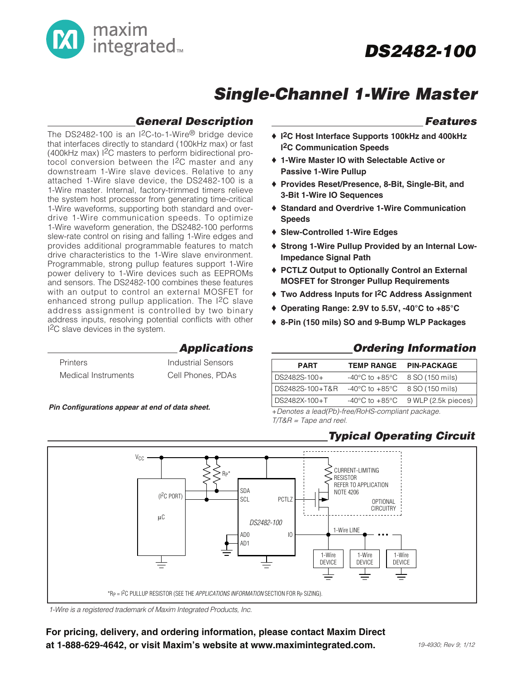

## **Single-Channel 1-Wire Master**

## **General Description**

The DS2482-100 is an I2C-to-1-Wire® bridge device that interfaces directly to standard (100kHz max) or fast (400kHz max) I2C masters to perform bidirectional protocol conversion between the I2C master and any downstream 1-Wire slave devices. Relative to any attached 1-Wire slave device, the DS2482-100 is a 1-Wire master. Internal, factory-trimmed timers relieve the system host processor from generating time-critical 1-Wire waveforms, supporting both standard and overdrive 1-Wire communication speeds. To optimize 1-Wire waveform generation, the DS2482-100 performs slew-rate control on rising and falling 1-Wire edges and provides additional programmable features to match drive characteristics to the 1-Wire slave environment. Programmable, strong pullup features support 1-Wire power delivery to 1-Wire devices such as EEPROMs and sensors. The DS2482-100 combines these features with an output to control an external MOSFET for enhanced strong pullup application. The I<sup>2</sup>C slave address assignment is controlled by two binary address inputs, resolving potential conflicts with other I2C slave devices in the system.

## **Applications**

| <b>Printers</b>     | Industrial Sensors |
|---------------------|--------------------|
| Medical Instruments | Cell Phones, PDAs  |

## **Functional Diagrams Pin Configurations appear at end of data sheet.**

### **Features**

- ♦ **I2C Host Interface Supports 100kHz and 400kHz I2C Communication Speeds**
- ♦ **1-Wire Master IO with Selectable Active or Passive 1-Wire Pullup**
- ♦ **Provides Reset/Presence, 8-Bit, Single-Bit, and 3-Bit 1-Wire IO Sequences**
- ♦ **Standard and Overdrive 1-Wire Communication Speeds**
- ♦ **Slew-Controlled 1-Wire Edges**
- ♦ **Strong 1-Wire Pullup Provided by an Internal Low-Impedance Signal Path**
- ♦ **PCTLZ Output to Optionally Control an External MOSFET for Stronger Pullup Requirements**
- ♦ **Two Address Inputs for I2C Address Assignment**
- ♦ **Operating Range: 2.9V to 5.5V, -40°C to +85°C**
- ♦ **8-Pin (150 mils) SO and 9-Bump WLP Packages**

## **Ordering Information**

| <b>PART</b>     | <b>TEMP RANGE</b>                                  | <b>PIN-PACKAGE</b>                                     |
|-----------------|----------------------------------------------------|--------------------------------------------------------|
| DS2482S-100+    |                                                    | $-40^{\circ}$ C to $+85^{\circ}$ C 8 SO (150 mils)     |
| DS2482S-100+T&R | $-40^{\circ}$ C to $+85^{\circ}$ C 8 SO (150 mils) |                                                        |
| DS2482X-100+T   |                                                    | $-40^{\circ}$ C to $+85^{\circ}$ C 9 WLP (2.5k pieces) |
|                 |                                                    |                                                        |

+Denotes a lead(Pb)-free/RoHS-compliant package. T/T&R = Tape and reel.

## **Typical Operating Circuit**



1-Wire is a registered trademark of Maxim Integrated Products, Inc.

For pricing, delivery, and ordering information, please contact Maxim Direct at 1-888-629-4642, or visit Maxim's website at www.maximintegrated.com.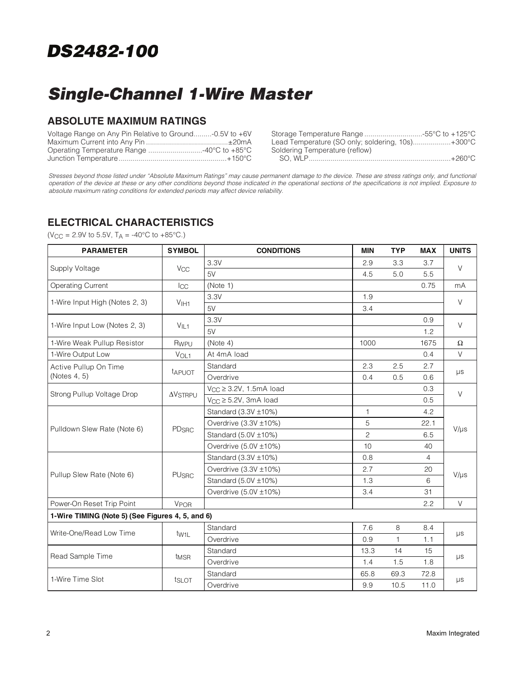# **Single-Channel 1-Wire Master**

## **ABSOLUTE MAXIMUM RATINGS**

| Voltage Range on Any Pin Relative to Ground-0.5V to +6V |                                                  |
|---------------------------------------------------------|--------------------------------------------------|
|                                                         | Lead Temperature (SO only; soldering, 10s)+300°C |
|                                                         | Soldering Temperature (reflow)                   |
|                                                         |                                                  |

Stresses beyond those listed under "Absolute Maximum Ratings" may cause permanent damage to the device. These are stress ratings only, and functional operation of the device at these or any other conditions beyond those indicated in the operational sections of the specifications is not implied. Exposure to absolute maximum rating conditions for extended periods may affect device reliability.

## **ELECTRICAL CHARACTERISTICS**

 $(V_{CC} = 2.9V \text{ to } 5.5V, T_A = -40\degree C \text{ to } +85\degree C.)$ 

| <b>PARAMETER</b>                                 | <b>SYMBOL</b>               | <b>CONDITIONS</b>               | <b>MIN</b>     | <b>TYP</b> | <b>MAX</b> | <b>UNITS</b> |  |  |  |
|--------------------------------------------------|-----------------------------|---------------------------------|----------------|------------|------------|--------------|--|--|--|
|                                                  |                             | 3.3V                            | 2.9            | 3.3        | 3.7        | $\vee$       |  |  |  |
| Supply Voltage                                   | <b>V<sub>CC</sub></b>       | 5V                              | 4.5            | 5.0        | 5.5        |              |  |  |  |
| <b>Operating Current</b>                         | $_{\rm{ICC}}$               | (Note 1)                        |                |            | 0.75       | mA           |  |  |  |
| 1-Wire Input High (Notes 2, 3)                   |                             | 3.3V                            | 1.9            |            |            | $\vee$       |  |  |  |
|                                                  | V <sub>1H1</sub>            | 5V                              | 3.4            |            |            |              |  |  |  |
| 1-Wire Input Low (Notes 2, 3)                    | V <sub>IL1</sub>            | 3.3V                            |                |            | 0.9        | $\vee$       |  |  |  |
|                                                  |                             | 5V                              |                |            | 1.2        |              |  |  |  |
| 1-Wire Weak Pullup Resistor                      | Rwpu                        | (Note 4)                        | 1000           |            | 1675       | $\Omega$     |  |  |  |
| 1-Wire Output Low                                | VOL1                        | At 4mA load                     |                |            | 0.4        | $\vee$       |  |  |  |
| Active Pullup On Time                            | tapuot                      | Standard                        | 2.3            | 2.5        | 2.7        |              |  |  |  |
| (Notes 4, 5)                                     |                             | Overdrive                       | 0.4            | 0.5        | 0.6        | $\mu s$      |  |  |  |
| Strong Pullup Voltage Drop                       | $\Delta$ V <sub>STRPU</sub> | $V_{CC} \geq 3.2V$ , 1.5mA load |                |            | 0.3        | $\vee$       |  |  |  |
|                                                  |                             | $V_{CC} \geq 5.2V$ , 3mA load   |                |            | 0.5        |              |  |  |  |
|                                                  | PD <sub>SRC</sub>           | Standard (3.3V ±10%)            | 1              |            | 4.2        | $V/\mu s$    |  |  |  |
| Pulldown Slew Rate (Note 6)                      |                             | Overdrive (3.3V ±10%)           | 5              |            | 22.1       |              |  |  |  |
|                                                  |                             | Standard $(5.0V \pm 10\%)$      | $\overline{c}$ |            | 6.5        |              |  |  |  |
|                                                  |                             | Overdrive (5.0V ±10%)           | 10             |            | 40         |              |  |  |  |
|                                                  |                             | Standard (3.3V ±10%)            | 0.8            |            | 4          | $V/\mu s$    |  |  |  |
| Pullup Slew Rate (Note 6)                        | <b>PU<sub>SRC</sub></b>     | Overdrive (3.3V ±10%)           | 2.7            |            | 20         |              |  |  |  |
|                                                  |                             | Standard $(5.0V \pm 10\%)$      | 1.3            |            | 6          |              |  |  |  |
|                                                  |                             | Overdrive (5.0V ±10%)           | 3.4            |            | 31         |              |  |  |  |
| Power-On Reset Trip Point                        | <b>V<sub>POR</sub></b>      |                                 |                |            | 2.2        | $\vee$       |  |  |  |
| 1-Wire TIMING (Note 5) (See Figures 4, 5, and 6) |                             |                                 |                |            |            |              |  |  |  |
| Write-One/Read Low Time                          |                             | Standard                        | 7.6            | 8          | 8.4        |              |  |  |  |
|                                                  | t <sub>W1L</sub>            | Overdrive                       | 0.9            | 1          | 1.1        | $\mu s$      |  |  |  |
| Read Sample Time                                 |                             | Standard                        | 13.3           | 14         | 15         |              |  |  |  |
|                                                  | t <sub>MSR</sub>            | Overdrive                       | 1.4            | 1.5        | 1.8        | $\mu s$      |  |  |  |
| 1-Wire Time Slot                                 |                             | Standard                        | 65.8           | 69.3       | 72.8       |              |  |  |  |
|                                                  | tslot                       | Overdrive                       | 9.9            | 10.5       | 11.0       | $\mu s$      |  |  |  |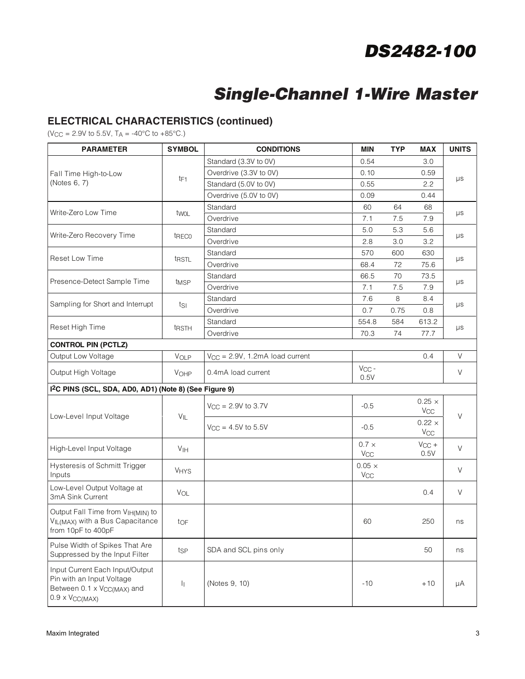# **Single-Channel 1-Wire Master**

## **ELECTRICAL CHARACTERISTICS (continued)**

 $(V_{CC} = 2.9V \text{ to } 5.5V, T_A = -40\degree C \text{ to } +85\degree C.)$ 

| <b>PARAMETER</b>                                                                                                                   | <b>SYMBOL</b>    | <b>CONDITIONS</b>                    | MIN                                    | <b>TYP</b> | <b>MAX</b>                             | <b>UNITS</b> |  |
|------------------------------------------------------------------------------------------------------------------------------------|------------------|--------------------------------------|----------------------------------------|------------|----------------------------------------|--------------|--|
|                                                                                                                                    |                  | Standard (3.3V to 0V)                | 0.54                                   |            | 3.0                                    |              |  |
| Fall Time High-to-Low                                                                                                              |                  | Overdrive (3.3V to 0V)               | 0.10                                   |            | 0.59                                   |              |  |
| (Notes 6, 7)                                                                                                                       | t <sub>F1</sub>  | Standard (5.0V to 0V)                | 0.55                                   |            | 2.2                                    | μs           |  |
|                                                                                                                                    |                  | Overdrive (5.0V to 0V)               | 0.09                                   |            | 0.44                                   |              |  |
| Write-Zero Low Time                                                                                                                |                  | Standard                             | 60                                     | 64         | 68                                     |              |  |
|                                                                                                                                    | twol             | Overdrive                            | 7.1                                    | 7.5        | 7.9                                    | μs           |  |
| Write-Zero Recovery Time                                                                                                           | treco            | Standard                             | 5.0                                    | 5.3        | 5.6                                    |              |  |
|                                                                                                                                    |                  | Overdrive                            | 2.8                                    | 3.0        | 3.2                                    | μs           |  |
| <b>Reset Low Time</b>                                                                                                              | trstL            | Standard                             | 570                                    | 600        | 630                                    | μs           |  |
|                                                                                                                                    |                  | Overdrive                            | 68.4                                   | 72         | 75.6                                   |              |  |
| Presence-Detect Sample Time                                                                                                        |                  | Standard                             | 66.5                                   | 70         | 73.5                                   |              |  |
|                                                                                                                                    | t <sub>MSP</sub> | Overdrive                            | 7.1                                    | 7.5        | 7.9                                    | μs           |  |
| Sampling for Short and Interrupt                                                                                                   |                  | Standard                             | 7.6                                    | 8          | 8.4                                    |              |  |
|                                                                                                                                    | tsı              | Overdrive                            | 0.7                                    | 0.75       | 0.8                                    | μs           |  |
| Reset High Time                                                                                                                    |                  | Standard                             | 554.8                                  | 584        | 613.2                                  |              |  |
|                                                                                                                                    | trstH            | Overdrive                            | 70.3                                   | 74         | 77.7                                   | μs           |  |
| <b>CONTROL PIN (PCTLZ)</b>                                                                                                         |                  |                                      |                                        |            |                                        |              |  |
| Output Low Voltage                                                                                                                 | VOLP             | $V_{CC} = 2.9V$ , 1.2mA load current |                                        |            | 0.4                                    | V            |  |
| Output High Voltage<br>VOHP                                                                                                        |                  | 0.4mA load current                   | $V_{CC}$ -<br>0.5V                     |            |                                        | $\vee$       |  |
| I <sup>2</sup> C PINS (SCL, SDA, AD0, AD1) (Note 8) (See Figure 9)                                                                 |                  |                                      |                                        |            |                                        |              |  |
|                                                                                                                                    | VIL              | $V_{CC} = 2.9V$ to 3.7V              | $-0.5$                                 |            | $0.25 \times$<br><b>V<sub>CC</sub></b> | V            |  |
| Low-Level Input Voltage                                                                                                            |                  | $V_{CC} = 4.5V$ to 5.5V              | $-0.5$                                 |            | $0.22 \times$<br>$V_{\rm CC}$          |              |  |
| High-Level Input Voltage                                                                                                           | V <sub>IH</sub>  |                                      | $0.7 \times$<br>V <sub>CC</sub>        |            | $V_{CC}$ +<br>0.5V                     | V            |  |
| Hysteresis of Schmitt Trigger<br>Inputs                                                                                            | <b>VHYS</b>      |                                      | $0.05 \times$<br><b>V<sub>CC</sub></b> |            |                                        | $\vee$       |  |
| Low-Level Output Voltage at<br>3mA Sink Current                                                                                    | VOL              |                                      |                                        |            | 0.4                                    | $\vee$       |  |
| Output Fall Time from VIH(MIN) to<br>VIL(MAX) with a Bus Capacitance<br>from 10pF to 400pF                                         | toF              |                                      | 60                                     |            | 250                                    | ns           |  |
| Pulse Width of Spikes That Are<br>Suppressed by the Input Filter                                                                   | tsp              | SDA and SCL pins only                |                                        |            | 50                                     | ns           |  |
| Input Current Each Input/Output<br>Pin with an Input Voltage<br>Between 0.1 x V <sub>CC(MAX)</sub> and<br>$0.9 \times V_{CC(MAX)}$ | h                | (Notes 9, 10)                        | $-10$                                  |            | $+10$                                  | μA           |  |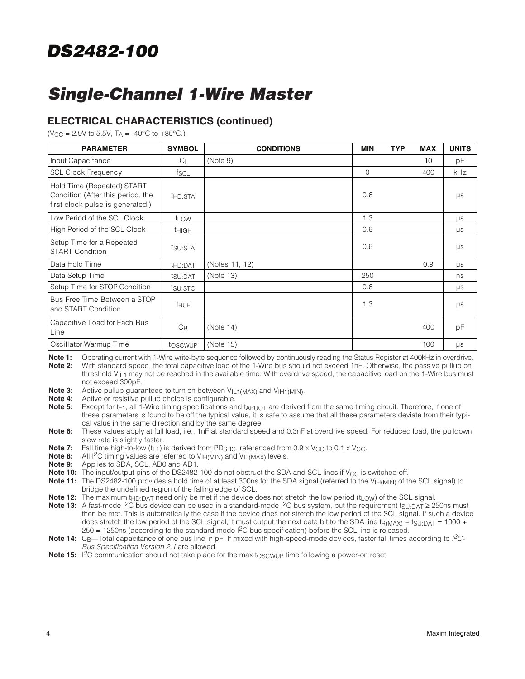# **Single-Channel 1-Wire Master**

## **ELECTRICAL CHARACTERISTICS (continued)**

 $(V_{\text{CC}} = 2.9V \text{ to } 5.5V, T_A = -40^{\circ} \text{C} \text{ to } +85^{\circ} \text{C}$ .

| <b>PARAMETER</b>                                                                                    | <b>SYMBOL</b>       | <b>CONDITIONS</b> | <b>MIN</b>  | <b>TYP</b> | <b>MAX</b> | <b>UNITS</b> |
|-----------------------------------------------------------------------------------------------------|---------------------|-------------------|-------------|------------|------------|--------------|
| Input Capacitance                                                                                   | C <sub>1</sub>      | (Note 9)          |             |            | 10         | pF           |
| <b>SCL Clock Frequency</b>                                                                          | fscl                |                   | $\mathbf 0$ |            | 400        | kHz          |
| Hold Time (Repeated) START<br>Condition (After this period, the<br>first clock pulse is generated.) | t <sub>HD:STA</sub> |                   | 0.6         |            |            | $\mu s$      |
| Low Period of the SCL Clock                                                                         | t <sub>LOW</sub>    |                   | 1.3         |            |            | $\mu$ s      |
| High Period of the SCL Clock                                                                        | <sup>t</sup> HIGH   |                   | 0.6         |            |            | $\mu s$      |
| Setup Time for a Repeated<br><b>START Condition</b>                                                 | tsu: STA            |                   | 0.6         |            |            | $\mu s$      |
| Data Hold Time                                                                                      | t <sub>HD:DAT</sub> | (Notes 11, 12)    |             |            | 0.9        | $\mu s$      |
| Data Setup Time                                                                                     | tsu:DAT             | (Note 13)         | 250         |            |            | ns           |
| Setup Time for STOP Condition                                                                       | tsu:STO             |                   | 0.6         |            |            | $\mu s$      |
| Bus Free Time Between a STOP<br>and START Condition                                                 | t <sub>BUF</sub>    |                   | 1.3         |            |            | $\mu s$      |
| Capacitive Load for Each Bus<br>Line                                                                | $C_{\mathsf{B}}$    | (Note 14)         |             |            | 400        | pF           |
| Oscillator Warmup Time                                                                              | toscwup             | (Note 15)         |             |            | 100        | $\mu s$      |

Note 1: Operating current with 1-Wire write-byte sequence followed by continuously reading the Status Register at 400kHz in overdrive. **Note 2:** With standard speed, the total capacitive load of the 1-Wire bus should not exceed 1nF. Otherwise, the passive pullup on threshold V<sub>II</sub> 1 may not be reached in the available time. With overdrive speed, the capacitive load on the 1-Wire bus must not exceed 300pF.

**Note 3:** Active pullup guaranteed to turn on between V<sub>IL1(MAX)</sub> and V<sub>IH1(MIN)</sub>.<br>Note 4: Active or resistive pullup choice is configurable

Active or resistive pullup choice is configurable.

**Note 5:** Except for t<sub>F1</sub>, all 1-Wire timing specifications and  $t_{APUOT}$  are derived from the same timing circuit. Therefore, if one of these parameters is found to be off the typical value, it is safe to assume that all these parameters deviate from their typical value in the same direction and by the same degree.

**Note 6:** These values apply at full load, i.e., 1nF at standard speed and 0.3nF at overdrive speed. For reduced load, the pulldown slew rate is slightly faster.

**Note 7:** Fall time high-to-low ( $t_F$ <sub>1</sub>) is derived from PD<sub>SRC</sub>, referenced from 0.9 x V<sub>CC</sub> to 0.1 x V<sub>CC</sub>.

**Note 8:** All I<sup>2</sup>C timing values are referred to V<sub>IH(MIN)</sub> and V<sub>IL(MAX)</sub> levels.

**Note 9:** Applies to SDA, SCL, AD0 and AD1.

**Note 10:** The input/output pins of the DS2482-100 do not obstruct the SDA and SCL lines if V<sub>CC</sub> is switched off.

Note 11: The DS2482-100 provides a hold time of at least 300ns for the SDA signal (referred to the V<sub>IH(MIN)</sub> of the SCL signal) to bridge the undefined region of the falling edge of SCL.

Note 12: The maximum t<sub>HD:DAT</sub> need only be met if the device does not stretch the low period (t<sub>LOW</sub>) of the SCL signal.

- **Note 13:** A fast-mode I<sup>2</sup>C bus device can be used in a standard-mode I<sup>2</sup>C bus system, but the requirement t<sub>SU:DAT</sub> ≥ 250ns must then be met. This is automatically the case if the device does not stretch the low period of the SCL signal. If such a device does stretch the low period of the SCL signal, it must output the next data bit to the SDA line  $t_{R(MAX)} + t_{SULDAT} = 1000 +$  $250 = 1250$ ns (according to the standard-mode  $1<sup>2</sup>C$  bus specification) before the SCL line is released.
- Note 14: C<sub>B</sub>—Total capacitance of one bus line in pF. If mixed with high-speed-mode devices, faster fall times according to PC-Bus Specification Version 2.1 are allowed.

Note 15: I<sup>2</sup>C communication should not take place for the max t<sub>OSCWUP</sub> time following a power-on reset.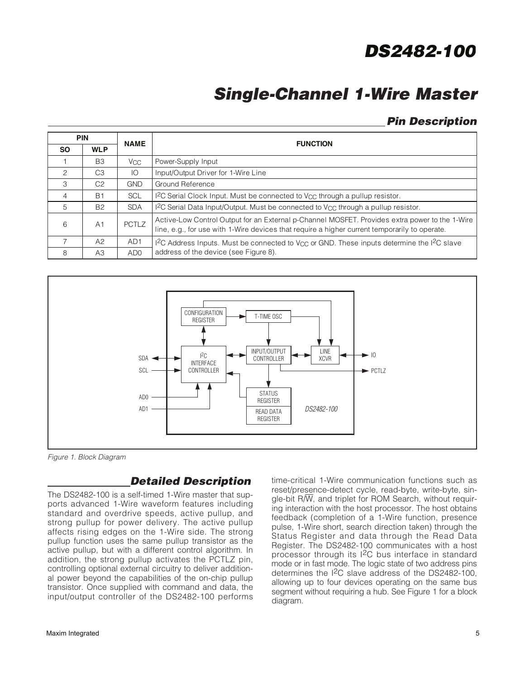# **Single-Channel 1-Wire Master**

## **Pin Description**

|                | <b>PIN</b>     |                 | <b>FUNCTION</b>                                                                                                                                                                                 |
|----------------|----------------|-----------------|-------------------------------------------------------------------------------------------------------------------------------------------------------------------------------------------------|
| <b>SO</b>      | <b>WLP</b>     | <b>NAME</b>     |                                                                                                                                                                                                 |
|                | B <sub>3</sub> | V <sub>CC</sub> | Power-Supply Input                                                                                                                                                                              |
| 2              | C <sub>3</sub> | IO              | Input/Output Driver for 1-Wire Line                                                                                                                                                             |
| 3              | C <sub>2</sub> | <b>GND</b>      | Ground Reference                                                                                                                                                                                |
| $\overline{4}$ | B <sub>1</sub> | <b>SCL</b>      | I <sup>2</sup> C Serial Clock Input. Must be connected to V <sub>CC</sub> through a pullup resistor.                                                                                            |
| 5              | <b>B2</b>      | <b>SDA</b>      | I <sup>2</sup> C Serial Data Input/Output. Must be connected to V <sub>CC</sub> through a pullup resistor.                                                                                      |
| 6              | A <sub>1</sub> | <b>PCTLZ</b>    | Active-Low Control Output for an External p-Channel MOSFET. Provides extra power to the 1-Wire<br>line, e.g., for use with 1-Wire devices that require a higher current temporarily to operate. |
| $\overline{7}$ | A2             | AD <sub>1</sub> | I <sup>2</sup> C Address Inputs. Must be connected to V <sub>CC</sub> or GND. These inputs determine the I <sup>2</sup> C slave                                                                 |
| 8              | A3             | AD <sub>0</sub> | address of the device (see Figure 8).                                                                                                                                                           |



Figure 1. Block Diagram

## **Detailed Description**

The DS2482-100 is a self-timed 1-Wire master that supports advanced 1-Wire waveform features including standard and overdrive speeds, active pullup, and strong pullup for power delivery. The active pullup affects rising edges on the 1-Wire side. The strong pullup function uses the same pullup transistor as the active pullup, but with a different control algorithm. In addition, the strong pullup activates the PCTLZ pin, controlling optional external circuitry to deliver additional power beyond the capabilities of the on-chip pullup transistor. Once supplied with command and data, the input/output controller of the DS2482-100 performs time-critical 1-Wire communication functions such as reset/presence-detect cycle, read-byte, write-byte, single-bit R/W, and triplet for ROM Search, without requiring interaction with the host processor. The host obtains feedback (completion of a 1-Wire function, presence pulse, 1-Wire short, search direction taken) through the Status Register and data through the Read Data Register. The DS2482-100 communicates with a host processor through its I2C bus interface in standard mode or in fast mode. The logic state of two address pins determines the I2C slave address of the DS2482-100, allowing up to four devices operating on the same bus segment without requiring a hub. See Figure 1 for a block diagram.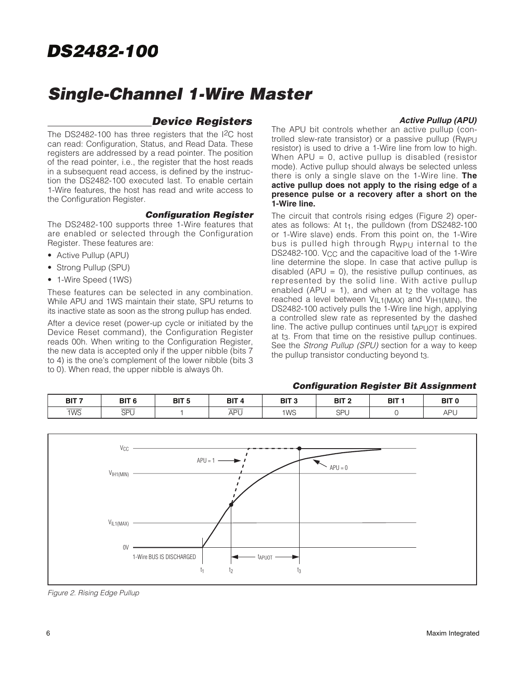## **Single-Channel 1-Wire Master**

## **Device Registers**

**Active Pullup (APU)**

The DS2482-100 has three registers that the I2C host can read: Configuration, Status, and Read Data. These registers are addressed by a read pointer. The position of the read pointer, i.e., the register that the host reads in a subsequent read access, is defined by the instruction the DS2482-100 executed last. To enable certain 1-Wire features, the host has read and write access to the Configuration Register.

### **Configuration Register**

The DS2482-100 supports three 1-Wire features that are enabled or selected through the Configuration Register. These features are:

- Active Pullup (APU)
- Strong Pullup (SPU)
- 1-Wire Speed (1WS)

These features can be selected in any combination. While APU and 1WS maintain their state, SPU returns to its inactive state as soon as the strong pullup has ended.

After a device reset (power-up cycle or initiated by the Device Reset command), the Configuration Register reads 00h. When writing to the Configuration Register, the new data is accepted only if the upper nibble (bits 7 to 4) is the one's complement of the lower nibble (bits 3 to 0). When read, the upper nibble is always 0h.

The APU bit controls whether an active pullup (controlled slew-rate transistor) or a passive pullup (Rwpu resistor) is used to drive a 1-Wire line from low to high. When  $APU = 0$ , active pullup is disabled (resistor mode). Active pullup should always be selected unless there is only a single slave on the 1-Wire line. **The active pullup does not apply to the rising edge of a presence pulse or a recovery after a short on the 1-Wire line.**

The circuit that controls rising edges (Figure 2) operates as follows: At t<sub>1</sub>, the pulldown (from DS2482-100) or 1-Wire slave) ends. From this point on, the 1-Wire bus is pulled high through RWPU internal to the DS2482-100. V<sub>CC</sub> and the capacitive load of the 1-Wire line determine the slope. In case that active pullup is disabled (APU = 0), the resistive pullup continues, as represented by the solid line. With active pullup enabled (APU = 1), and when at t<sub>2</sub> the voltage has reached a level between VIL1(MAX) and VIH1(MIN), the DS2482-100 actively pulls the 1-Wire line high, applying a controlled slew rate as represented by the dashed line. The active pullup continues until  $t_{APUOT}$  is expired at t3. From that time on the resistive pullup continues. See the Strong Pullup (SPU) section for a way to keep the pullup transistor conducting beyond t3.

### **Configuration Register Bit Assignment**

| BIT <sub>7</sub>                | BIT <sub>6</sub>               | BIT <sub>5</sub> | BIT <sub>4</sub>             | <b>BIT 3</b>    | BIT <sub>2</sub> | BIT : | BIT 1 |
|---------------------------------|--------------------------------|------------------|------------------------------|-----------------|------------------|-------|-------|
| $\overline{\phantom{a}}$<br>1WS | $ -$<br><b>CDI</b><br>. U<br>◡ |                  | $ -$<br>ΔPΙ<br>σı<br>$\cdot$ | 1W <sub>S</sub> | SPU              |       | APL   |



Figure 2. Rising Edge Pullup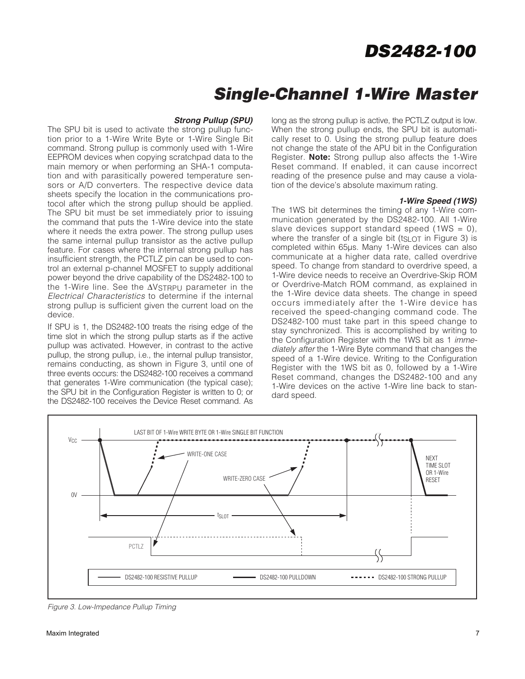## **Single-Channel 1-Wire Master**

### **Strong Pullup (SPU)**

The SPU bit is used to activate the strong pullup function prior to a 1-Wire Write Byte or 1-Wire Single Bit command. Strong pullup is commonly used with 1-Wire EEPROM devices when copying scratchpad data to the main memory or when performing an SHA-1 computation and with parasitically powered temperature sensors or A/D converters. The respective device data sheets specify the location in the communications protocol after which the strong pullup should be applied. The SPU bit must be set immediately prior to issuing the command that puts the 1-Wire device into the state where it needs the extra power. The strong pullup uses the same internal pullup transistor as the active pullup feature. For cases where the internal strong pullup has insufficient strength, the PCTLZ pin can be used to control an external p-channel MOSFET to supply additional power beyond the drive capability of the DS2482-100 to the 1-Wire line. See the ΔVSTRPU parameter in the Electrical Characteristics to determine if the internal strong pullup is sufficient given the current load on the device.

If SPU is 1, the DS2482-100 treats the rising edge of the time slot in which the strong pullup starts as if the active pullup was activated. However, in contrast to the active pullup, the strong pullup, i.e., the internal pullup transistor, remains conducting, as shown in Figure 3, until one of three events occurs: the DS2482-100 receives a command that generates 1-Wire communication (the typical case); the SPU bit in the Configuration Register is written to 0; or the DS2482-100 receives the Device Reset command. As

long as the strong pullup is active, the PCTLZ output is low. When the strong pullup ends, the SPU bit is automatically reset to 0. Using the strong pullup feature does not change the state of the APU bit in the Configuration Register. **Note:** Strong pullup also affects the 1-Wire Reset command. If enabled, it can cause incorrect reading of the presence pulse and may cause a violation of the device's absolute maximum rating.

#### **1-Wire Speed (1WS)**

The 1WS bit determines the timing of any 1-Wire communication generated by the DS2482-100. All 1-Wire slave devices support standard speed  $(1WS = 0)$ . where the transfer of a single bit ( $tgLOT$  in Figure 3) is completed within 65µs. Many 1-Wire devices can also communicate at a higher data rate, called overdrive speed. To change from standard to overdrive speed, a 1-Wire device needs to receive an Overdrive-Skip ROM or Overdrive-Match ROM command, as explained in the 1-Wire device data sheets. The change in speed occurs immediately after the 1-Wire device has received the speed-changing command code. The DS2482-100 must take part in this speed change to stay synchronized. This is accomplished by writing to the Configuration Register with the 1WS bit as 1 immediately after the 1-Wire Byte command that changes the speed of a 1-Wire device. Writing to the Configuration Register with the 1WS bit as 0, followed by a 1-Wire Reset command, changes the DS2482-100 and any 1-Wire devices on the active 1-Wire line back to standard speed.



Figure 3. Low-Impedance Pullup Timing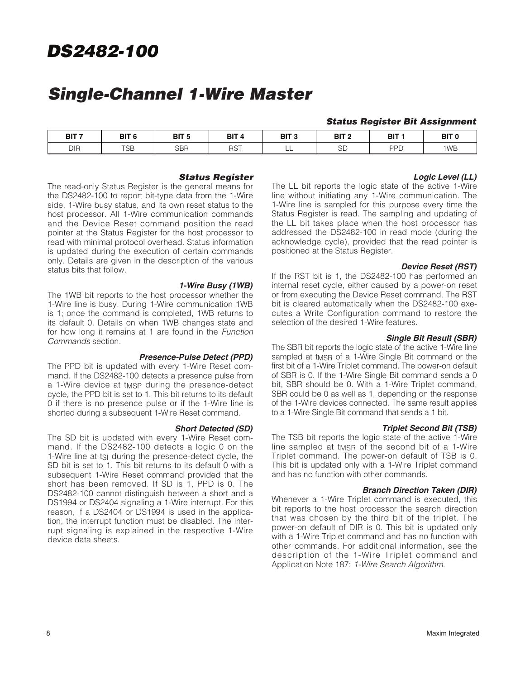# **Single-Channel 1-Wire Master**

### **Status Register Bit Assignment**

| BIT <sub>7</sub><br>--- - | BIT <sub>6</sub>     | BIT <sub>5</sub>            | BIT       | BIT 3<br>$\sim$ | BIT <sub>2</sub> | BIT <sub>1</sub> | BIT <sub>(</sub> |
|---------------------------|----------------------|-----------------------------|-----------|-----------------|------------------|------------------|------------------|
| DIR                       | $T\cap\Gamma$<br>סטו | <b>SBR</b><br>$\sim$ $\sim$ | nет<br>בר | ---             | $\cap$<br>⊃∟     | PPL              | 1WB              |

### **Status Register**

The read-only Status Register is the general means for the DS2482-100 to report bit-type data from the 1-Wire side, 1-Wire busy status, and its own reset status to the host processor. All 1-Wire communication commands and the Device Reset command position the read pointer at the Status Register for the host processor to read with minimal protocol overhead. Status information is updated during the execution of certain commands only. Details are given in the description of the various status bits that follow.

#### **1-Wire Busy (1WB)**

The 1WB bit reports to the host processor whether the 1-Wire line is busy. During 1-Wire communication 1WB is 1; once the command is completed, 1WB returns to its default 0. Details on when 1WB changes state and for how long it remains at 1 are found in the Function Commands section.

#### **Presence-Pulse Detect (PPD)**

The PPD bit is updated with every 1-Wire Reset command. If the DS2482-100 detects a presence pulse from a 1-Wire device at t<sub>MSP</sub> during the presence-detect cycle, the PPD bit is set to 1. This bit returns to its default 0 if there is no presence pulse or if the 1-Wire line is shorted during a subsequent 1-Wire Reset command.

#### **Short Detected (SD)**

The SD bit is updated with every 1-Wire Reset command. If the DS2482-100 detects a logic 0 on the 1-Wire line at tsi during the presence-detect cycle, the SD bit is set to 1. This bit returns to its default 0 with a subsequent 1-Wire Reset command provided that the short has been removed. If SD is 1, PPD is 0. The DS2482-100 cannot distinguish between a short and a DS1994 or DS2404 signaling a 1-Wire interrupt. For this reason, if a DS2404 or DS1994 is used in the application, the interrupt function must be disabled. The interrupt signaling is explained in the respective 1-Wire device data sheets.

## **Logic Level (LL)**

The LL bit reports the logic state of the active 1-Wire line without initiating any 1-Wire communication. The 1-Wire line is sampled for this purpose every time the Status Register is read. The sampling and updating of the LL bit takes place when the host processor has addressed the DS2482-100 in read mode (during the acknowledge cycle), provided that the read pointer is positioned at the Status Register.

#### **Device Reset (RST)**

If the RST bit is 1, the DS2482-100 has performed an internal reset cycle, either caused by a power-on reset or from executing the Device Reset command. The RST bit is cleared automatically when the DS2482-100 executes a Write Configuration command to restore the selection of the desired 1-Wire features.

#### **Single Bit Result (SBR)**

The SBR bit reports the logic state of the active 1-Wire line sampled at t<sub>MSR</sub> of a 1-Wire Single Bit command or the first bit of a 1-Wire Triplet command. The power-on default of SBR is 0. If the 1-Wire Single Bit command sends a 0 bit, SBR should be 0. With a 1-Wire Triplet command, SBR could be 0 as well as 1, depending on the response of the 1-Wire devices connected. The same result applies to a 1-Wire Single Bit command that sends a 1 bit.

#### **Triplet Second Bit (TSB)**

The TSB bit reports the logic state of the active 1-Wire line sampled at t<sub>MSR</sub> of the second bit of a 1-Wire Triplet command. The power-on default of TSB is 0. This bit is updated only with a 1-Wire Triplet command and has no function with other commands.

#### **Branch Direction Taken (DIR)**

Whenever a 1-Wire Triplet command is executed, this bit reports to the host processor the search direction that was chosen by the third bit of the triplet. The power-on default of DIR is 0. This bit is updated only with a 1-Wire Triplet command and has no function with other commands. For additional information, see the description of the 1-Wire Triplet command and Application Note 187: 1-Wire Search Algorithm.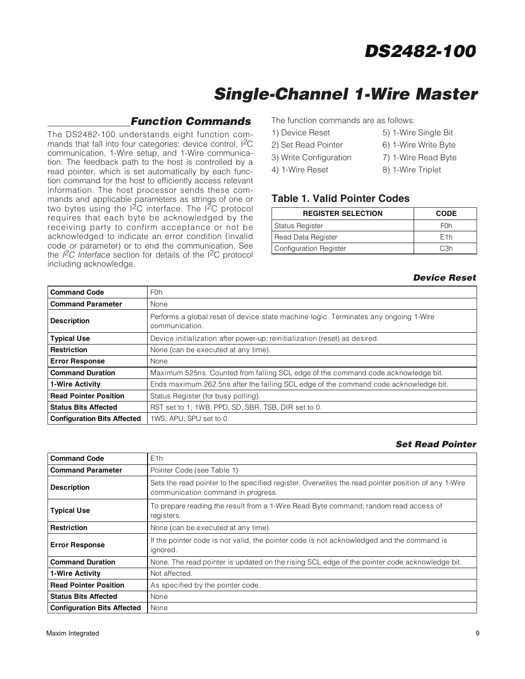# **Single-Channel 1-Wire Master**

## **Function Commands**

The DS2482-100 understands eight function commands that fall into four categories: device control, I2C communication, 1-Wire setup, and 1-Wire communication. The feedback path to the host is controlled by a read pointer, which is set automatically by each function command for the host to efficiently access relevant information. The host processor sends these commands and applicable parameters as strings of one or two bytes using the  $12C$  interface. The  $12C$  protocol requires that each byte be acknowledged by the receiving party to confirm acceptance or not be acknowledged to indicate an error condition (invalid code or parameter) or to end the communication. See the  $l^2C$  Interface section for details of the I<sup>2</sup>C protocol including acknowledge.

The function commands are as follows:

- 1) Device Reset 5) 1-Wire Single Bit 2) Set Read Pointer 6) 1-Wire Write Byte
- 3) Write Configuration 7) 1-Wire Read Byte
- 4) 1-Wire Reset 8) 1-Wire Triplet

## **Table 1. Valid Pointer Codes**

| <b>REGISTER SELECTION</b>     | <b>CODE</b>      |
|-------------------------------|------------------|
| <b>Status Register</b>        | F <sub>0</sub> h |
| Read Data Register            | F <sub>1</sub> h |
| <b>Configuration Register</b> | C.3h             |

### **Device Reset**

| <b>Command Code</b>                | F <sub>0</sub> h                                                                                       |
|------------------------------------|--------------------------------------------------------------------------------------------------------|
| <b>Command Parameter</b>           | None                                                                                                   |
| <b>Description</b>                 | Performs a global reset of device state machine logic. Terminates any ongoing 1-Wire<br>communication. |
| <b>Typical Use</b>                 | Device initialization after power-up; reinitialization (reset) as desired.                             |
| <b>Restriction</b>                 | None (can be executed at any time).                                                                    |
| <b>Error Response</b>              | None                                                                                                   |
| <b>Command Duration</b>            | Maximum 525ns. Counted from falling SCL edge of the command code acknowledge bit.                      |
| 1-Wire Activity                    | Ends maximum 262.5ns after the falling SCL edge of the command code acknowledge bit.                   |
| <b>Read Pointer Position</b>       | Status Register (for busy polling).                                                                    |
| <b>Status Bits Affected</b>        | RST set to 1; 1WB, PPD, SD, SBR, TSB, DIR set to 0.                                                    |
| <b>Configuration Bits Affected</b> | 1WS. APU. SPU set to 0.                                                                                |

### **Set Read Pointer**

| <b>Command Code</b>                | E1h                                                                                                                                       |
|------------------------------------|-------------------------------------------------------------------------------------------------------------------------------------------|
| <b>Command Parameter</b>           | Pointer Code (see Table 1)                                                                                                                |
| <b>Description</b>                 | Sets the read pointer to the specified register. Overwrites the read pointer position of any 1-Wire<br>communication command in progress. |
| <b>Typical Use</b>                 | To prepare reading the result from a 1-Wire Read Byte command; random read access of<br>registers.                                        |
| Restriction                        | None (can be executed at any time).                                                                                                       |
| <b>Error Response</b>              | If the pointer code is not valid, the pointer code is not acknowledged and the command is<br>ignored.                                     |
| <b>Command Duration</b>            | None. The read pointer is updated on the rising SCL edge of the pointer code acknowledge bit.                                             |
| 1-Wire Activity                    | Not affected.                                                                                                                             |
| <b>Read Pointer Position</b>       | As specified by the pointer code.                                                                                                         |
| <b>Status Bits Affected</b>        | None                                                                                                                                      |
| <b>Configuration Bits Affected</b> | None                                                                                                                                      |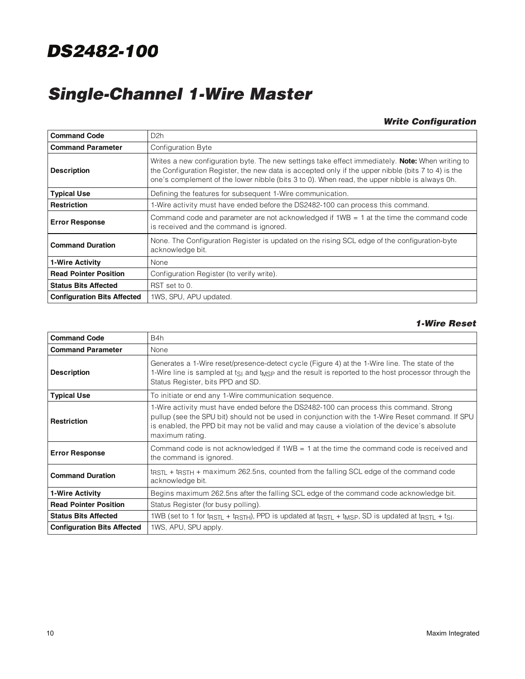# **Single-Channel 1-Wire Master**

### **Write Configuration**

| <b>Command Code</b>                | D <sub>2h</sub>                                                                                                                                                                                                                                                                                                |  |
|------------------------------------|----------------------------------------------------------------------------------------------------------------------------------------------------------------------------------------------------------------------------------------------------------------------------------------------------------------|--|
| <b>Command Parameter</b>           | Configuration Byte                                                                                                                                                                                                                                                                                             |  |
| <b>Description</b>                 | Writes a new configuration byte. The new settings take effect immediately. <b>Note:</b> When writing to<br>the Configuration Register, the new data is accepted only if the upper nibble (bits 7 to 4) is the<br>one's complement of the lower nibble (bits 3 to 0). When read, the upper nibble is always 0h. |  |
| <b>Typical Use</b>                 | Defining the features for subsequent 1-Wire communication.                                                                                                                                                                                                                                                     |  |
| <b>Restriction</b>                 | 1-Wire activity must have ended before the DS2482-100 can process this command.                                                                                                                                                                                                                                |  |
| <b>Error Response</b>              | Command code and parameter are not acknowledged if 1WB = 1 at the time the command code<br>is received and the command is ignored.                                                                                                                                                                             |  |
| <b>Command Duration</b>            | None. The Configuration Register is updated on the rising SCL edge of the configuration-byte<br>acknowledge bit.                                                                                                                                                                                               |  |
| 1-Wire Activity                    | None                                                                                                                                                                                                                                                                                                           |  |
| <b>Read Pointer Position</b>       | Configuration Register (to verify write).                                                                                                                                                                                                                                                                      |  |
| <b>Status Bits Affected</b>        | RST set to 0.                                                                                                                                                                                                                                                                                                  |  |
| <b>Configuration Bits Affected</b> | 1WS, SPU, APU updated.                                                                                                                                                                                                                                                                                         |  |

### **1-Wire Reset**

| <b>Command Code</b>                | B4h                                                                                                                                                                                                                                                                                                          |
|------------------------------------|--------------------------------------------------------------------------------------------------------------------------------------------------------------------------------------------------------------------------------------------------------------------------------------------------------------|
| <b>Command Parameter</b>           | None                                                                                                                                                                                                                                                                                                         |
| <b>Description</b>                 | Generates a 1-Wire reset/presence-detect cycle (Figure 4) at the 1-Wire line. The state of the<br>1-Wire line is sampled at ts <sub>I</sub> and t <sub>MSP</sub> and the result is reported to the host processor through the<br>Status Register, bits PPD and SD.                                           |
| <b>Typical Use</b>                 | To initiate or end any 1-Wire communication sequence.                                                                                                                                                                                                                                                        |
| <b>Restriction</b>                 | 1-Wire activity must have ended before the DS2482-100 can process this command. Strong<br>pullup (see the SPU bit) should not be used in conjunction with the 1-Wire Reset command. If SPU<br>is enabled, the PPD bit may not be valid and may cause a violation of the device's absolute<br>maximum rating. |
| <b>Error Response</b>              | Command code is not acknowledged if $1WB = 1$ at the time the command code is received and<br>the command is ignored.                                                                                                                                                                                        |
| <b>Command Duration</b>            | $t$ <sub>RSTL</sub> + t <sub>RSTH</sub> + maximum 262.5ns, counted from the falling SCL edge of the command code<br>acknowledge bit.                                                                                                                                                                         |
| 1-Wire Activity                    | Begins maximum 262.5ns after the falling SCL edge of the command code acknowledge bit.                                                                                                                                                                                                                       |
| <b>Read Pointer Position</b>       | Status Register (for busy polling).                                                                                                                                                                                                                                                                          |
| <b>Status Bits Affected</b>        | 1WB (set to 1 for tast $\pm$ tast H). PPD is updated at tast $\pm$ tmsp, SD is updated at tast $\pm$ ts.                                                                                                                                                                                                     |
| <b>Configuration Bits Affected</b> | 1WS, APU, SPU apply.                                                                                                                                                                                                                                                                                         |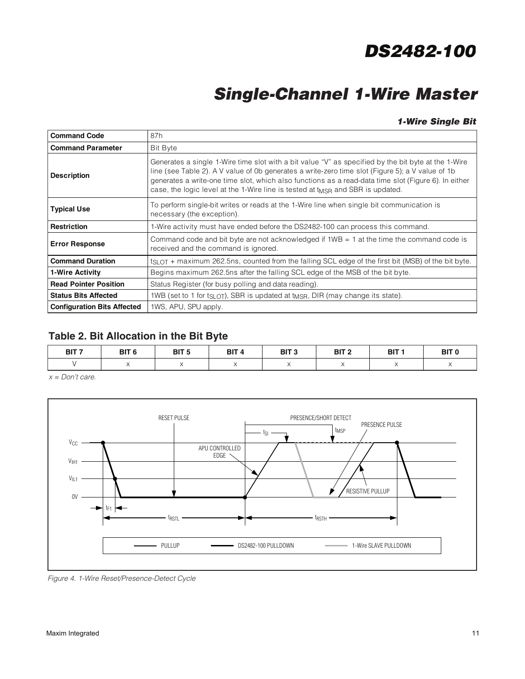# **Single-Channel 1-Wire Master**

### **1-Wire Single Bit**

| <b>Command Code</b>                | 87h                                                                                                                                                                                                                                                                                                                                                                                                           |  |  |  |
|------------------------------------|---------------------------------------------------------------------------------------------------------------------------------------------------------------------------------------------------------------------------------------------------------------------------------------------------------------------------------------------------------------------------------------------------------------|--|--|--|
| <b>Command Parameter</b>           | <b>Bit Byte</b>                                                                                                                                                                                                                                                                                                                                                                                               |  |  |  |
| <b>Description</b>                 | Generates a single 1-Wire time slot with a bit value "V" as specified by the bit byte at the 1-Wire<br>line (see Table 2). A V value of 0b generates a write-zero time slot (Figure 5); a V value of 1b<br>generates a write-one time slot, which also functions as a read-data time slot (Figure 6). In either<br>case, the logic level at the 1-Wire line is tested at t <sub>MSR</sub> and SBR is updated. |  |  |  |
| <b>Typical Use</b>                 | To perform single-bit writes or reads at the 1-Wire line when single bit communication is<br>necessary (the exception).                                                                                                                                                                                                                                                                                       |  |  |  |
| <b>Restriction</b>                 | 1-Wire activity must have ended before the DS2482-100 can process this command.                                                                                                                                                                                                                                                                                                                               |  |  |  |
| <b>Error Response</b>              | Command code and bit byte are not acknowledged if $1WB = 1$ at the time the command code is<br>received and the command is ignored.                                                                                                                                                                                                                                                                           |  |  |  |
| <b>Command Duration</b>            | $t_{SLOT}$ + maximum 262.5ns, counted from the falling SCL edge of the first bit (MSB) of the bit byte.                                                                                                                                                                                                                                                                                                       |  |  |  |
| 1-Wire Activity                    | Begins maximum 262.5ns after the falling SCL edge of the MSB of the bit byte.                                                                                                                                                                                                                                                                                                                                 |  |  |  |
| <b>Read Pointer Position</b>       | Status Register (for busy polling and data reading).                                                                                                                                                                                                                                                                                                                                                          |  |  |  |
| <b>Status Bits Affected</b>        | 1WB (set to 1 for ts <sub>LOT</sub> ), SBR is updated at t <sub>MSR</sub> , DIR (may change its state).                                                                                                                                                                                                                                                                                                       |  |  |  |
| <b>Configuration Bits Affected</b> | 1WS, APU, SPU apply.                                                                                                                                                                                                                                                                                                                                                                                          |  |  |  |

## **Table 2. Bit Allocation in the Bit Byte**

| BIT <sub>7</sub> | BIT <sub>6</sub> | BIT <sub>5</sub> | BIT <sub>4</sub> | BIT <sub>3</sub> | BIT <sub>2</sub> | BIT 1 | BIT <sub>0</sub> |
|------------------|------------------|------------------|------------------|------------------|------------------|-------|------------------|
|                  |                  |                  |                  |                  |                  |       |                  |

 $x = Don't care.$ 



Figure 4. 1-Wire Reset/Presence-Detect Cycle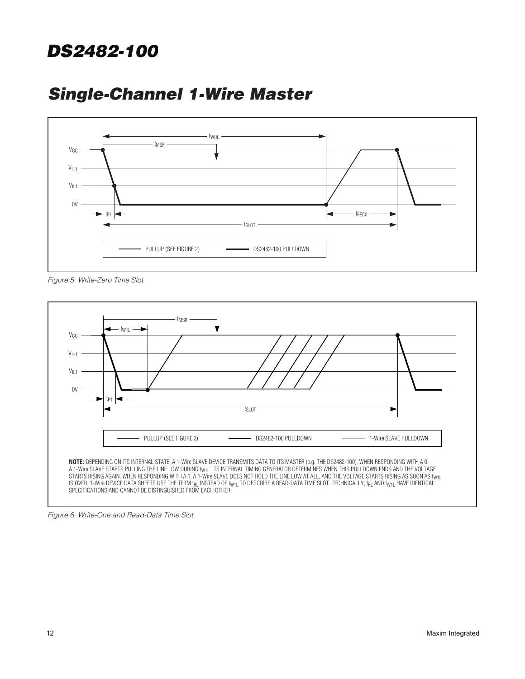

## **Single-Channel 1-Wire Master**

Figure 5. Write-Zero Time Slot



Figure 6. Write-One and Read-Data Time Slot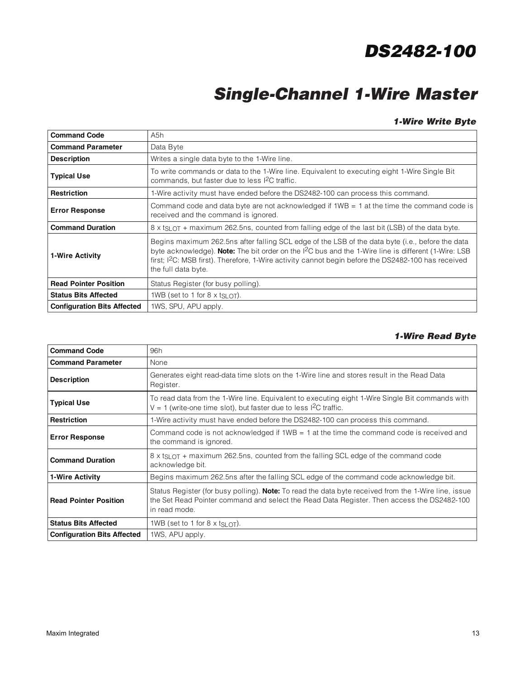# **Single-Channel 1-Wire Master**

### **1-Wire Write Byte**

| <b>Command Code</b>                                                                                                                                                                                                                                                                                                                                                               | A5h                                                                                                                                                         |  |
|-----------------------------------------------------------------------------------------------------------------------------------------------------------------------------------------------------------------------------------------------------------------------------------------------------------------------------------------------------------------------------------|-------------------------------------------------------------------------------------------------------------------------------------------------------------|--|
| <b>Command Parameter</b>                                                                                                                                                                                                                                                                                                                                                          | Data Byte                                                                                                                                                   |  |
| <b>Description</b>                                                                                                                                                                                                                                                                                                                                                                | Writes a single data byte to the 1-Wire line.                                                                                                               |  |
| <b>Typical Use</b>                                                                                                                                                                                                                                                                                                                                                                | To write commands or data to the 1-Wire line. Equivalent to executing eight 1-Wire Single Bit<br>commands, but faster due to less I <sup>2</sup> C traffic. |  |
| Restriction                                                                                                                                                                                                                                                                                                                                                                       | 1-Wire activity must have ended before the DS2482-100 can process this command.                                                                             |  |
| <b>Error Response</b>                                                                                                                                                                                                                                                                                                                                                             | Command code and data byte are not acknowledged if $1WB = 1$ at the time the command code is<br>received and the command is ignored.                        |  |
| <b>Command Duration</b>                                                                                                                                                                                                                                                                                                                                                           | $8 \times$ ts $_{\text{LOT}}$ + maximum 262.5ns, counted from falling edge of the last bit (LSB) of the data byte.                                          |  |
| Begins maximum 262.5ns after falling SCL edge of the LSB of the data byte (i.e., before the data<br>byte acknowledge). Note: The bit order on the I <sup>2</sup> C bus and the 1-Wire line is different (1-Wire: LSB<br>1-Wire Activity<br>first; I <sup>2</sup> C: MSB first). Therefore, 1-Wire activity cannot begin before the DS2482-100 has received<br>the full data byte. |                                                                                                                                                             |  |
| <b>Read Pointer Position</b>                                                                                                                                                                                                                                                                                                                                                      | Status Register (for busy polling).                                                                                                                         |  |
| <b>Status Bits Affected</b>                                                                                                                                                                                                                                                                                                                                                       | 1WB (set to 1 for 8 $\times$ t <sub>SLOT</sub> ).                                                                                                           |  |
| <b>Configuration Bits Affected</b>                                                                                                                                                                                                                                                                                                                                                | 1WS, SPU, APU apply.                                                                                                                                        |  |

### **1-Wire Read Byte**

| <b>Command Code</b>                | 96h                                                                                                                                                                                                                        |
|------------------------------------|----------------------------------------------------------------------------------------------------------------------------------------------------------------------------------------------------------------------------|
| <b>Command Parameter</b>           | None                                                                                                                                                                                                                       |
| <b>Description</b>                 | Generates eight read-data time slots on the 1-Wire line and stores result in the Read Data<br>Register.                                                                                                                    |
| <b>Typical Use</b>                 | To read data from the 1-Wire line. Equivalent to executing eight 1-Wire Single Bit commands with<br>$V = 1$ (write-one time slot), but faster due to less I <sup>2</sup> C traffic.                                        |
| Restriction                        | 1-Wire activity must have ended before the DS2482-100 can process this command.                                                                                                                                            |
| <b>Error Response</b>              | Command code is not acknowledged if $1WB = 1$ at the time the command code is received and<br>the command is ignored.                                                                                                      |
| <b>Command Duration</b>            | 8 x t <sub>SLOT</sub> + maximum 262.5ns, counted from the falling SCL edge of the command code<br>acknowledge bit.                                                                                                         |
| 1-Wire Activity                    | Begins maximum 262.5ns after the falling SCL edge of the command code acknowledge bit.                                                                                                                                     |
| <b>Read Pointer Position</b>       | Status Register (for busy polling). <b>Note:</b> To read the data byte received from the 1-Wire line, issue<br>the Set Read Pointer command and select the Read Data Register. Then access the DS2482-100<br>in read mode. |
| <b>Status Bits Affected</b>        | 1WB (set to 1 for 8 $\times$ t <sub>SLOT</sub> ).                                                                                                                                                                          |
| <b>Configuration Bits Affected</b> | 1WS, APU apply.                                                                                                                                                                                                            |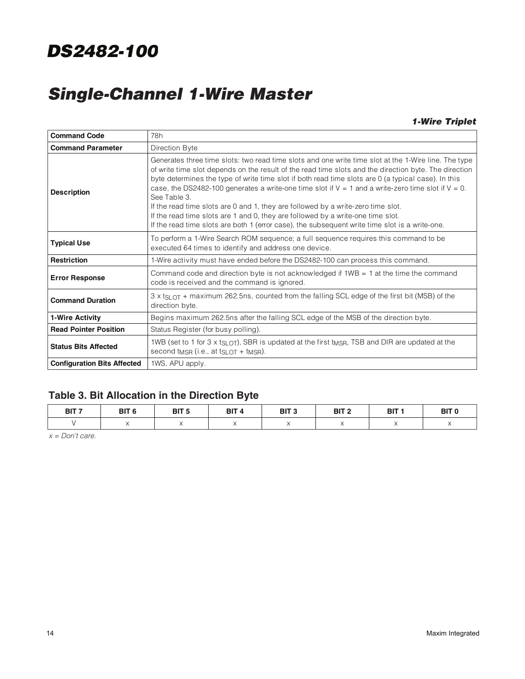# **Single-Channel 1-Wire Master**

### **1-Wire Triplet**

| <b>Command Code</b>                                                                                                                                                                                                                                                                                                                                                                                                                                                                                                                                                                                                                                                                                                                            | 78h                                                                                                                                                                              |  |  |
|------------------------------------------------------------------------------------------------------------------------------------------------------------------------------------------------------------------------------------------------------------------------------------------------------------------------------------------------------------------------------------------------------------------------------------------------------------------------------------------------------------------------------------------------------------------------------------------------------------------------------------------------------------------------------------------------------------------------------------------------|----------------------------------------------------------------------------------------------------------------------------------------------------------------------------------|--|--|
| <b>Command Parameter</b>                                                                                                                                                                                                                                                                                                                                                                                                                                                                                                                                                                                                                                                                                                                       | Direction Byte                                                                                                                                                                   |  |  |
| Generates three time slots: two read time slots and one write time slot at the 1-Wire line. The type<br>of write time slot depends on the result of the read time slots and the direction byte. The direction<br>byte determines the type of write time slot if both read time slots are 0 (a typical case). In this<br>case, the DS2482-100 generates a write-one time slot if $V = 1$ and a write-zero time slot if $V = 0$ .<br><b>Description</b><br>See Table 3.<br>If the read time slots are 0 and 1, they are followed by a write-zero time slot.<br>If the read time slots are 1 and 0, they are followed by a write-one time slot.<br>If the read time slots are both 1 (error case), the subsequent write time slot is a write-one. |                                                                                                                                                                                  |  |  |
| <b>Typical Use</b>                                                                                                                                                                                                                                                                                                                                                                                                                                                                                                                                                                                                                                                                                                                             | To perform a 1-Wire Search ROM sequence; a full sequence requires this command to be<br>executed 64 times to identify and address one device.                                    |  |  |
| <b>Restriction</b>                                                                                                                                                                                                                                                                                                                                                                                                                                                                                                                                                                                                                                                                                                                             | 1-Wire activity must have ended before the DS2482-100 can process this command.                                                                                                  |  |  |
| <b>Error Response</b>                                                                                                                                                                                                                                                                                                                                                                                                                                                                                                                                                                                                                                                                                                                          | Command code and direction byte is not acknowledged if $1WB = 1$ at the time the command<br>code is received and the command is ignored.                                         |  |  |
| <b>Command Duration</b>                                                                                                                                                                                                                                                                                                                                                                                                                                                                                                                                                                                                                                                                                                                        | $3 \times$ t <sub>SL OT</sub> + maximum 262.5 ns, counted from the falling SCL edge of the first bit (MSB) of the<br>direction byte.                                             |  |  |
| 1-Wire Activity                                                                                                                                                                                                                                                                                                                                                                                                                                                                                                                                                                                                                                                                                                                                | Begins maximum 262.5ns after the falling SCL edge of the MSB of the direction byte.                                                                                              |  |  |
| <b>Read Pointer Position</b>                                                                                                                                                                                                                                                                                                                                                                                                                                                                                                                                                                                                                                                                                                                   | Status Register (for busy polling).                                                                                                                                              |  |  |
| <b>Status Bits Affected</b>                                                                                                                                                                                                                                                                                                                                                                                                                                                                                                                                                                                                                                                                                                                    | 1WB (set to 1 for 3 x t <sub>SLOT</sub> ), SBR is updated at the first t <sub>MSR</sub> , TSB and DIR are updated at the<br>second $t_{MSR}$ (i.e., at $t_{SLOT}$ + $t_{MSR}$ ). |  |  |
| <b>Configuration Bits Affected</b>                                                                                                                                                                                                                                                                                                                                                                                                                                                                                                                                                                                                                                                                                                             | 1WS, APU apply.                                                                                                                                                                  |  |  |

## **Table 3. Bit Allocation in the Direction Byte**

| BIT <sub>7</sub> | <b>SIT 6</b> | BIT <sub>5</sub> | <b>BIT</b> | BIT $^{\prime}$ | BIT <sub>2</sub> | --<br>ы | BIT <sub>0</sub> |
|------------------|--------------|------------------|------------|-----------------|------------------|---------|------------------|
|                  |              |                  |            |                 |                  |         |                  |

 $x = Don't care.$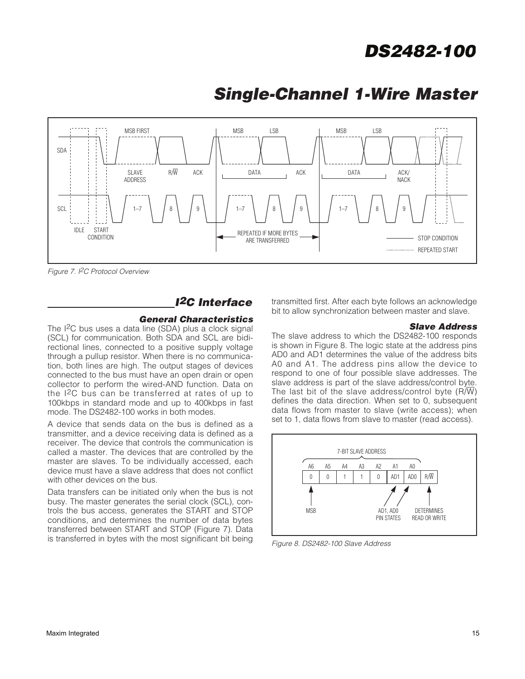

## **Single-Channel 1-Wire Master**

Figure 7. I<sup>2</sup>C Protocol Overview

## **I2C Interface**

### **General Characteristics**

The I<sup>2</sup>C bus uses a data line (SDA) plus a clock signal (SCL) for communication. Both SDA and SCL are bidirectional lines, connected to a positive supply voltage through a pullup resistor. When there is no communication, both lines are high. The output stages of devices connected to the bus must have an open drain or open collector to perform the wired-AND function. Data on the I2C bus can be transferred at rates of up to 100kbps in standard mode and up to 400kbps in fast mode. The DS2482-100 works in both modes.

A device that sends data on the bus is defined as a transmitter, and a device receiving data is defined as a receiver. The device that controls the communication is called a master. The devices that are controlled by the master are slaves. To be individually accessed, each device must have a slave address that does not conflict with other devices on the bus.

Data transfers can be initiated only when the bus is not busy. The master generates the serial clock (SCL), controls the bus access, generates the START and STOP conditions, and determines the number of data bytes transferred between START and STOP (Figure 7). Data is transferred in bytes with the most significant bit being

transmitted first. After each byte follows an acknowledge bit to allow synchronization between master and slave.

#### **Slave Address**

The slave address to which the DS2482-100 responds is shown in Figure 8. The logic state at the address pins AD0 and AD1 determines the value of the address bits A0 and A1. The address pins allow the device to respond to one of four possible slave addresses. The slave address is part of the slave address/control byte. The last bit of the slave address/control byte  $(R/\overline{W})$ defines the data direction. When set to 0, subsequent data flows from master to slave (write access); when set to 1, data flows from slave to master (read access).



Figure 8. DS2482-100 Slave Address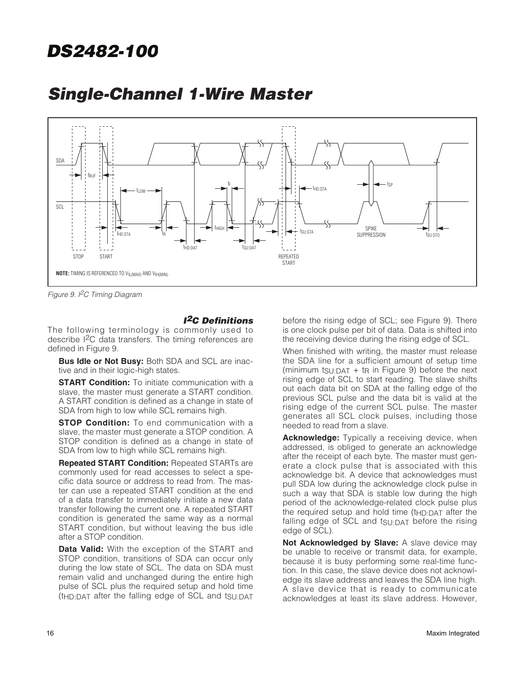

## **Single-Channel 1-Wire Master**

Figure 9. I<sup>2</sup>C Timing Diagram

### **I2C Definitions**

The following terminology is commonly used to describe I2C data transfers. The timing references are defined in Figure 9.

**Bus Idle or Not Busy: Both SDA and SCL are inac**tive and in their logic-high states.

**START Condition:** To initiate communication with a slave, the master must generate a START condition. A START condition is defined as a change in state of SDA from high to low while SCL remains high.

**STOP Condition:** To end communication with a slave, the master must generate a STOP condition. A STOP condition is defined as a change in state of SDA from low to high while SCL remains high.

**Repeated START Condition:** Repeated STARTs are commonly used for read accesses to select a specific data source or address to read from. The master can use a repeated START condition at the end of a data transfer to immediately initiate a new data transfer following the current one. A repeated START condition is generated the same way as a normal START condition, but without leaving the bus idle after a STOP condition.

**Data Valid:** With the exception of the START and STOP condition, transitions of SDA can occur only during the low state of SCL. The data on SDA must remain valid and unchanged during the entire high pulse of SCL plus the required setup and hold time (tHD:DAT after the falling edge of SCL and tSU:DAT

before the rising edge of SCL; see Figure 9). There is one clock pulse per bit of data. Data is shifted into the receiving device during the rising edge of SCL.

When finished with writing, the master must release the SDA line for a sufficient amount of setup time (minimum  $tgU:DAT + tp$  in Figure 9) before the next rising edge of SCL to start reading. The slave shifts out each data bit on SDA at the falling edge of the previous SCL pulse and the data bit is valid at the rising edge of the current SCL pulse. The master generates all SCL clock pulses, including those needed to read from a slave.

**Acknowledge:** Typically a receiving device, when addressed, is obliged to generate an acknowledge after the receipt of each byte. The master must generate a clock pulse that is associated with this acknowledge bit. A device that acknowledges must pull SDA low during the acknowledge clock pulse in such a way that SDA is stable low during the high period of the acknowledge-related clock pulse plus the required setup and hold time  $(t_{HD:DAT}$  after the falling edge of SCL and tSU:DAT before the rising edge of SCL).

**Not Acknowledged by Slave:** A slave device may be unable to receive or transmit data, for example, because it is busy performing some real-time function. In this case, the slave device does not acknowledge its slave address and leaves the SDA line high. A slave device that is ready to communicate acknowledges at least its slave address. However,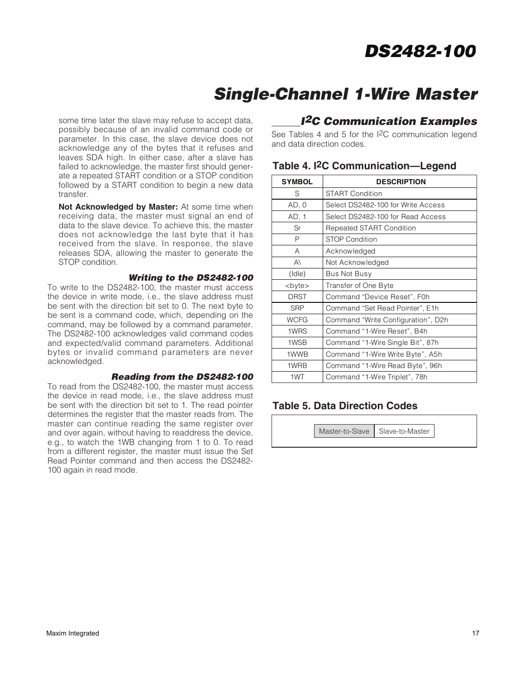# **Single-Channel 1-Wire Master**

some time later the slave may refuse to accept data, possibly because of an invalid command code or parameter. In this case, the slave device does not acknowledge any of the bytes that it refuses and leaves SDA high. In either case, after a slave has failed to acknowledge, the master first should generate a repeated START condition or a STOP condition followed by a START condition to begin a new data transfer.

**Not Acknowledged by Master:** At some time when receiving data, the master must signal an end of data to the slave device. To achieve this, the master does not acknowledge the last byte that it has received from the slave. In response, the slave releases SDA, allowing the master to generate the STOP condition.

### **Writing to the DS2482-100**

To write to the DS2482-100, the master must access the device in write mode, i.e., the slave address must be sent with the direction bit set to 0. The next byte to be sent is a command code, which, depending on the command, may be followed by a command parameter. The DS2482-100 acknowledges valid command codes and expected/valid command parameters. Additional bytes or invalid command parameters are never acknowledged.

#### **Reading from the DS2482-100**

To read from the DS2482-100, the master must access the device in read mode, i.e., the slave address must be sent with the direction bit set to 1. The read pointer determines the register that the master reads from. The master can continue reading the same register over and over again, without having to readdress the device, e.g., to watch the 1WB changing from 1 to 0. To read from a different register, the master must issue the Set Read Pointer command and then access the DS2482- 100 again in read mode.

### **<sup>I</sup>2C Communication Examples**

See Tables 4 and 5 for the I2C communication legend and data direction codes.

| <b>SYMBOL</b> | <b>DESCRIPTION</b>                 |  |  |
|---------------|------------------------------------|--|--|
| S             | <b>START Condition</b>             |  |  |
| AD, 0         | Select DS2482-100 for Write Access |  |  |
| AD, 1         | Select DS2482-100 for Read Access  |  |  |
| Sr            | <b>Repeated START Condition</b>    |  |  |
| P             | <b>STOP Condition</b>              |  |  |
| A             | Acknowledged                       |  |  |
| $A\setminus$  | Not Acknowledged                   |  |  |
| (dle)         | Bus Not Busy                       |  |  |
| <byte></byte> | Transfer of One Byte               |  |  |
| <b>DRST</b>   | Command "Device Reset", F0h        |  |  |
| <b>SRP</b>    | Command "Set Read Pointer", E1h    |  |  |
| <b>WCFG</b>   | Command "Write Configuration", D2h |  |  |
| 1WRS          | Command "1-Wire Reset", B4h        |  |  |
| 1WSB          | Command "1-Wire Single Bit", 87h   |  |  |
| 1WWB          | Command "1-Wire Write Byte", A5h   |  |  |
| 1WRB          | Command "1-Wire Read Byte", 96h    |  |  |
| 1WT           | Command "1-Wire Triplet", 78h      |  |  |

### **Table 4. I2C Communication—Legend**

### **Table 5. Data Direction Codes**

Master-to-Slave | Slave-to-Master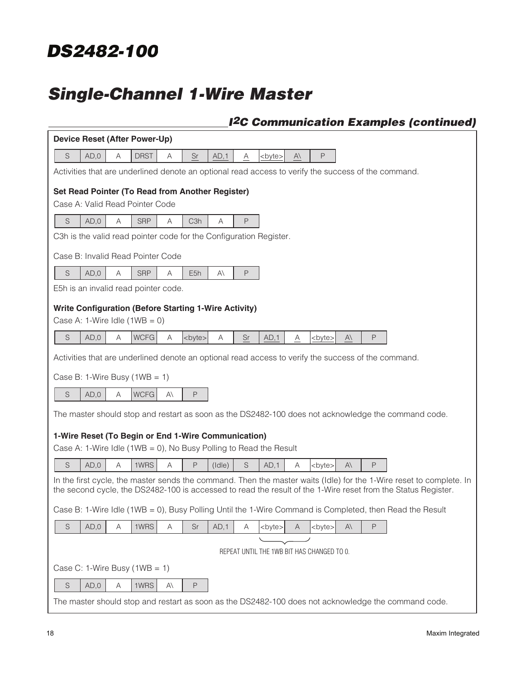# **Single-Channel 1-Wire Master**

## **<sup>I</sup>2C Communication Examples (continued)**

| Device Reset (After Power-Up)                                                                                                                                                                                                        |  |  |  |  |
|--------------------------------------------------------------------------------------------------------------------------------------------------------------------------------------------------------------------------------------|--|--|--|--|
| S<br>P<br>AD,0<br>Α<br><b>DRST</b><br>$\rm Sr$<br>$\overline{A}$<br>Α<br>AD,1<br>$A\setminus$<br><byte></byte>                                                                                                                       |  |  |  |  |
| Activities that are underlined denote an optional read access to verify the success of the command.                                                                                                                                  |  |  |  |  |
| Set Read Pointer (To Read from Another Register)                                                                                                                                                                                     |  |  |  |  |
| Case A: Valid Read Pointer Code                                                                                                                                                                                                      |  |  |  |  |
| AD,0<br><b>SRP</b><br>S<br>A<br>Α<br>C <sub>3</sub> h<br>P<br>Α                                                                                                                                                                      |  |  |  |  |
| C3h is the valid read pointer code for the Configuration Register.                                                                                                                                                                   |  |  |  |  |
| Case B: Invalid Read Pointer Code                                                                                                                                                                                                    |  |  |  |  |
| S<br>AD,0<br><b>SRP</b><br>P<br>A<br>Α<br>E <sub>5h</sub><br>$A\setminus$                                                                                                                                                            |  |  |  |  |
| E5h is an invalid read pointer code.                                                                                                                                                                                                 |  |  |  |  |
| <b>Write Configuration (Before Starting 1-Wire Activity)</b>                                                                                                                                                                         |  |  |  |  |
| Case A: 1-Wire Idle $(1WB = 0)$                                                                                                                                                                                                      |  |  |  |  |
| S<br>AD,0<br><b>WCFG</b><br>Α<br>Sr<br>P<br>Α<br><bvte><br/>Α<br/>AD,1<br/><byte><br/><math>A\setminus</math><br/>A</byte></bvte>                                                                                                    |  |  |  |  |
| Activities that are underlined denote an optional read access to verify the success of the command.                                                                                                                                  |  |  |  |  |
| Case B: 1-Wire Busy $(1WB = 1)$                                                                                                                                                                                                      |  |  |  |  |
| S<br><b>WCFG</b><br>AD,0<br>Α<br>$A\setminus$<br>P                                                                                                                                                                                   |  |  |  |  |
| The master should stop and restart as soon as the DS2482-100 does not acknowledge the command code.                                                                                                                                  |  |  |  |  |
| 1-Wire Reset (To Begin or End 1-Wire Communication)                                                                                                                                                                                  |  |  |  |  |
| Case A: 1-Wire Idle (1WB = 0), No Busy Polling to Read the Result                                                                                                                                                                    |  |  |  |  |
| S<br>AD,0<br>A<br>1WRS<br>A<br>P<br>S<br>P<br>$(\text{Idle})$<br>AD.1<br>A<br>$A\setminus$<br><byte></byte>                                                                                                                          |  |  |  |  |
| In the first cycle, the master sends the command. Then the master waits (Idle) for the 1-Wire reset to complete. In<br>the second cycle, the DS2482-100 is accessed to read the result of the 1-Wire reset from the Status Register. |  |  |  |  |
| Case B: 1-Wire Idle (1WB = 0), Busy Polling Until the 1-Wire Command is Completed, then Read the Result                                                                                                                              |  |  |  |  |
| AD,0<br>1WRS<br>S<br>Sr<br>AD,1<br>P<br>Α<br>Α<br>Α<br><byte><br/><byte><br/><math>A\setminus</math><br/>A</byte></byte>                                                                                                             |  |  |  |  |
|                                                                                                                                                                                                                                      |  |  |  |  |
| REPEAT UNTIL THE 1WB BIT HAS CHANGED TO 0.                                                                                                                                                                                           |  |  |  |  |
| Case C: 1-Wire Busy $(1WB = 1)$                                                                                                                                                                                                      |  |  |  |  |
| S<br>AD,0<br>1WRS<br>$A\setminus$<br>$\mathsf{P}$<br>Α                                                                                                                                                                               |  |  |  |  |
| The master should stop and restart as soon as the DS2482-100 does not acknowledge the command code.                                                                                                                                  |  |  |  |  |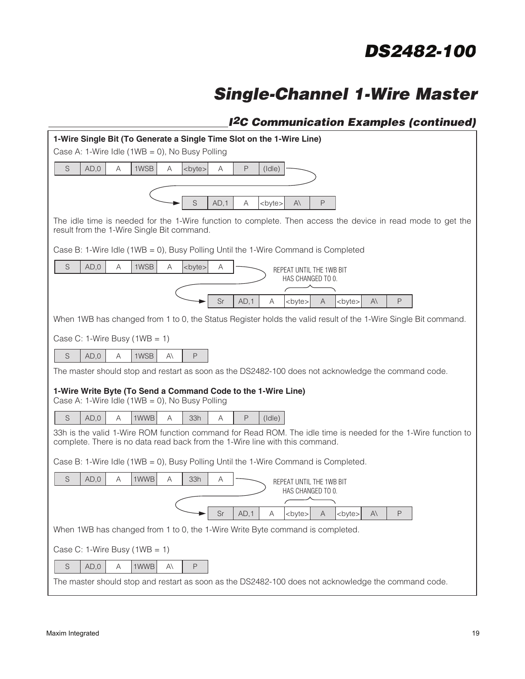# **Single-Channel 1-Wire Master**

## **<sup>I</sup>2C Communication Examples (continued)**

| 1-Wire Single Bit (To Generate a Single Time Slot on the 1-Wire Line)                                                                                     |  |  |  |  |
|-----------------------------------------------------------------------------------------------------------------------------------------------------------|--|--|--|--|
| Case A: 1-Wire Idle (1WB = 0), No Busy Polling                                                                                                            |  |  |  |  |
| S<br>AD,0<br>1WSB<br>A<br>A<br><byte><br/>P<br/><math>(</math>Idle<math>)</math><br/>Α</byte>                                                             |  |  |  |  |
|                                                                                                                                                           |  |  |  |  |
| S<br>AD.1<br>P<br>Α<br><byte><br/>A۱</byte>                                                                                                               |  |  |  |  |
| The idle time is needed for the 1-Wire function to complete. Then access the device in read mode to get the<br>result from the 1-Wire Single Bit command. |  |  |  |  |
| Case B: 1-Wire Idle (1WB = 0), Busy Polling Until the 1-Wire Command is Completed                                                                         |  |  |  |  |
| $\mathsf S$<br>1WSB<br>AD,0<br>A<br><byte><br/>A<br/>Α<br/>REPEAT UNTIL THE 1WB BIT</byte>                                                                |  |  |  |  |
| HAS CHANGED TO 0.                                                                                                                                         |  |  |  |  |
| Sr<br>AD,1<br>P<br>Α<br><byte><br/><byte><br/>AΙ<br/>Α</byte></byte>                                                                                      |  |  |  |  |
| When 1WB has changed from 1 to 0, the Status Register holds the valid result of the 1-Wire Single Bit command.                                            |  |  |  |  |
| Case C: 1-Wire Busy $(1WB = 1)$                                                                                                                           |  |  |  |  |
| 1WSB                                                                                                                                                      |  |  |  |  |
| S<br>AD,0<br>A<br>P<br>A۱                                                                                                                                 |  |  |  |  |
| The master should stop and restart as soon as the DS2482-100 does not acknowledge the command code.                                                       |  |  |  |  |
| 1-Wire Write Byte (To Send a Command Code to the 1-Wire Line)<br>Case A: 1-Wire Idle (1WB = 0), No Busy Polling                                           |  |  |  |  |
| S<br>AD,0<br>A<br>A<br>1WWB<br>33h<br>A<br>P<br>$(\mathsf{Idle})$                                                                                         |  |  |  |  |
| 33h is the valid 1-Wire ROM function command for Read ROM. The idle time is needed for the 1-Wire function to                                             |  |  |  |  |
| complete. There is no data read back from the 1-Wire line with this command.                                                                              |  |  |  |  |
| Case B: 1-Wire Idle (1WB = 0), Busy Polling Until the 1-Wire Command is Completed.                                                                        |  |  |  |  |
| $\mathsf S$<br>AD,0<br>Α<br>1WWB<br>A<br>33h<br>Α<br>REPEAT UNTIL THE 1WB BIT                                                                             |  |  |  |  |
| HAS CHANGED TO 0.                                                                                                                                         |  |  |  |  |
| $Sr$ $AD,1$<br>$A \left  byte \right $ A<br><br><b>byte</b><br>P<br>A                                                                                     |  |  |  |  |
| When 1WB has changed from 1 to 0, the 1-Wire Write Byte command is completed.                                                                             |  |  |  |  |
| Case C: 1-Wire Busy $(1WB = 1)$                                                                                                                           |  |  |  |  |
| S<br>AD,0<br>Α<br>1WWB<br>P<br>A۱                                                                                                                         |  |  |  |  |
| The master should stop and restart as soon as the DS2482-100 does not acknowledge the command code.                                                       |  |  |  |  |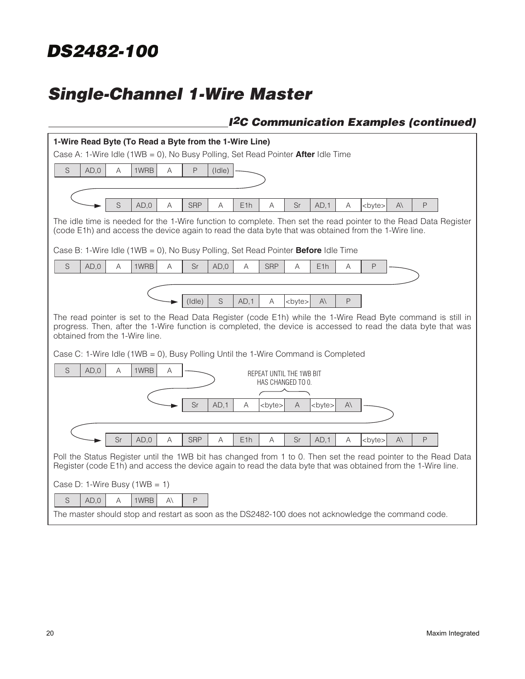# **Single-Channel 1-Wire Master**

## **<sup>I</sup>2C Communication Examples (continued)**

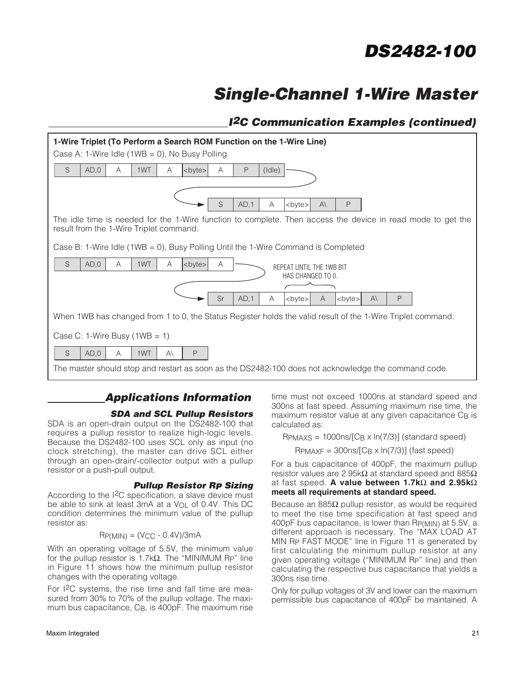# **Single-Channel 1-Wire Master**

## **<sup>I</sup>2C Communication Examples (continued)**



## **Applications Information**

### **SDA and SCL Pullup Resistors**

SDA is an open-drain output on the DS2482-100 that requires a pullup resistor to realize high-logic levels. Because the DS2482-100 uses SCL only as input (no clock stretching), the master can drive SCL either through an open-drain/-collector output with a pullup resistor or a push-pull output.

### **Pullup Resistor RP Sizing**

According to the I<sup>2</sup>C specification, a slave device must be able to sink at least 3mA at a  $V_{OL}$  of 0.4V. This DC condition determines the minimum value of the pullup resistor as:

$$
RP(MIN) = (VCC - 0.4V)/3mA
$$

With an operating voltage of 5.5V, the minimum value for the pullup resistor is 1.7k $\Omega$ . The "MINIMUM Rp" line in Figure 11 shows how the minimum pullup resistor changes with the operating voltage.

For I2C systems, the rise time and fall time are measured from 30% to 70% of the pullup voltage. The maximum bus capacitance, C<sub>B</sub>, is 400pF. The maximum rise

time must not exceed 1000ns at standard speed and 300ns at fast speed. Assuming maximum rise time, the maximum resistor value at any given capacitance C<sub>B</sub> is calculated as:

 $R_{\text{PMAXS}} = 1000 \text{ns/(C}_{\text{B}} \times \text{ln}(7/3))$  (standard speed)

#### $R_{\text{PMAXF}} = 300 \text{ns} / [C_{\text{B}} \times \text{ln}(7/3)]$  (fast speed)

For a bus capacitance of 400pF, the maximum pullup resistor values are 2.95kΩ at standard speed and 885 $Ω$ at fast speed. **A value between 1.7k**Ω **and 2.95k**Ω **meets all requirements at standard speed.**

Because an 885 $\Omega$  pullup resistor, as would be required to meet the rise time specification at fast speed and 400pF bus capacitance, is lower than RP(MIN) at 5.5V, a different approach is necessary. The "MAX LOAD AT MIN RP FAST MODE" line in Figure 11 is generated by first calculating the minimum pullup resistor at any given operating voltage ("MINIMUM RP" line) and then calculating the respective bus capacitance that yields a 300ns rise time.

Only for pullup voltages of 3V and lower can the maximum permissible bus capacitance of 400pF be maintained. A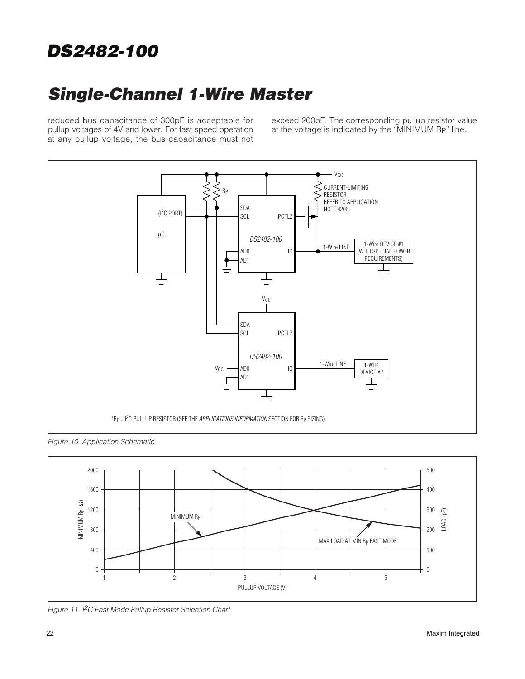# **Single-Channel 1-Wire Master**

reduced bus capacitance of 300pF is acceptable for pullup voltages of 4V and lower. For fast speed operation at any pullup voltage, the bus capacitance must not exceed 200pF. The corresponding pullup resistor value at the voltage is indicated by the "MINIMUM RP" line.



Figure 10. Application Schematic



Figure 11. I<sup>2</sup>C Fast Mode Pullup Resistor Selection Chart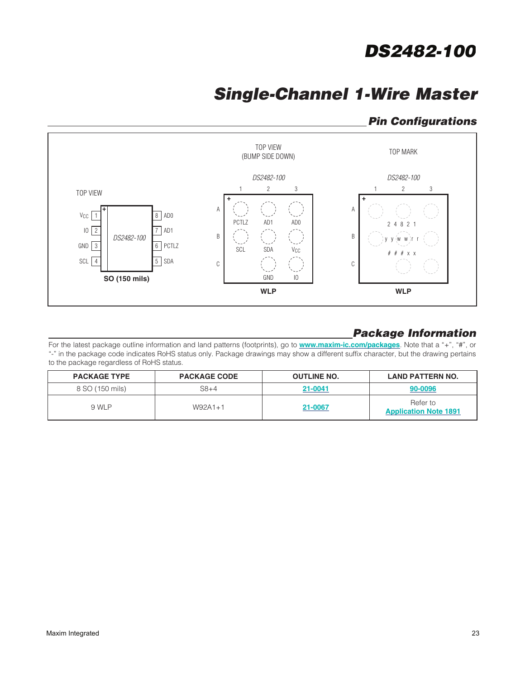# **Single-Channel 1-Wire Master**

## **Pin Configurations**



## **Package Information**

For the latest package outline information and land patterns (footprints), go to **www.maxim-ic.com/packages**. Note that a "+", "#", or "-" in the package code indicates RoHS status only. Package drawings may show a different suffix character, but the drawing pertains to the package regardless of RoHS status.

| <b>PACKAGE TYPE</b> | <b>PACKAGE CODE</b> | <b>OUTLINE NO.</b> | <b>LAND PATTERN NO.</b>                  |
|---------------------|---------------------|--------------------|------------------------------------------|
| 8 SO (150 mils)     | $S8+4$              | 21-0041            | 90-0096                                  |
| 9 WLP               | $W92A1+1$           | 21-0067            | Refer to<br><b>Application Note 1891</b> |